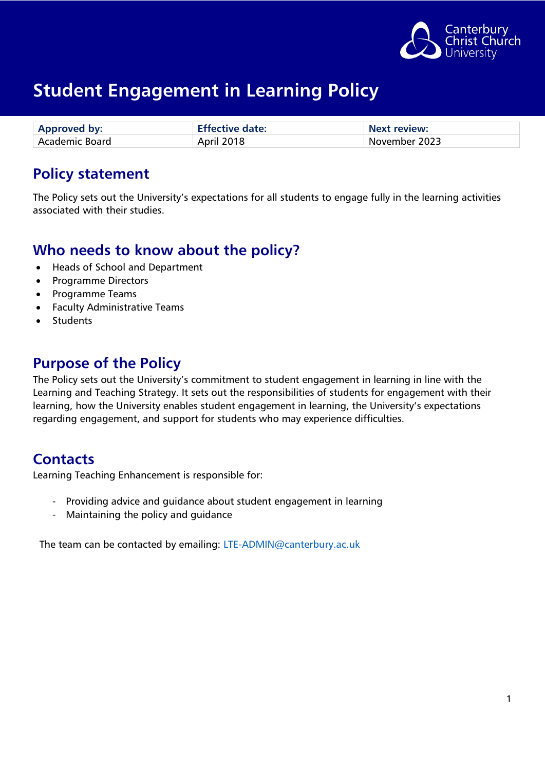

| <b>Approved by:</b>   | <b>Effective date:</b> | Next review:  |
|-----------------------|------------------------|---------------|
| <b>Academic Board</b> | April 2018             | November 2023 |

### **Policy statement**

The Policy sets out the University's expectations for all students to engage fully in the learning activities associated with their studies.

### **Who needs to know about the policy?**

- Heads of School and Department
- Programme Directors
- Programme Teams
- Faculty Administrative Teams
- Students

### **Purpose of the Policy**

The Policy sets out the University's commitment to student engagement in learning in line with the Learning and Teaching Strategy. It sets out the responsibilities of students for engagement with their learning, how the University enables student engagement in learning, the University's expectations regarding engagement, and support for students who may experience difficulties.

### **Contacts**

Learning Teaching Enhancement is responsible for:

- Providing advice and guidance about student engagement in learning
- Maintaining the policy and guidance

The team can be contacted by emailing: [LTE-ADMIN@canterbury.ac.uk](mailto:LTE-ADMIN@canterbury.ac.uk)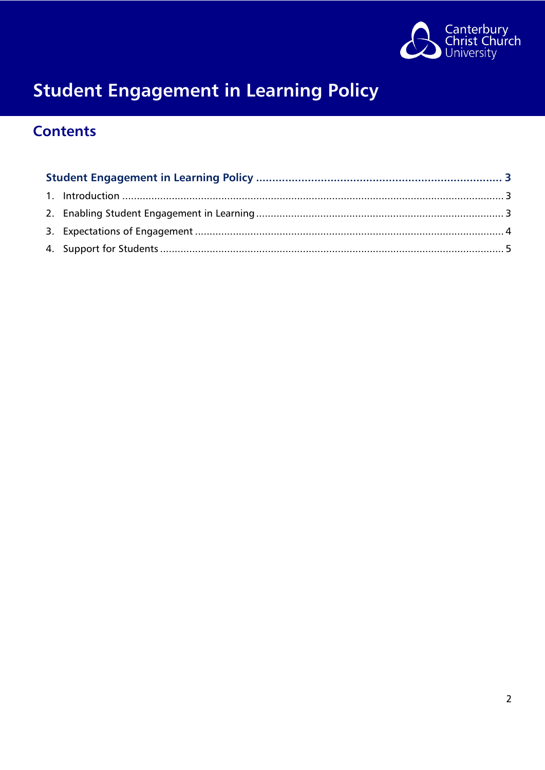

### **Contents**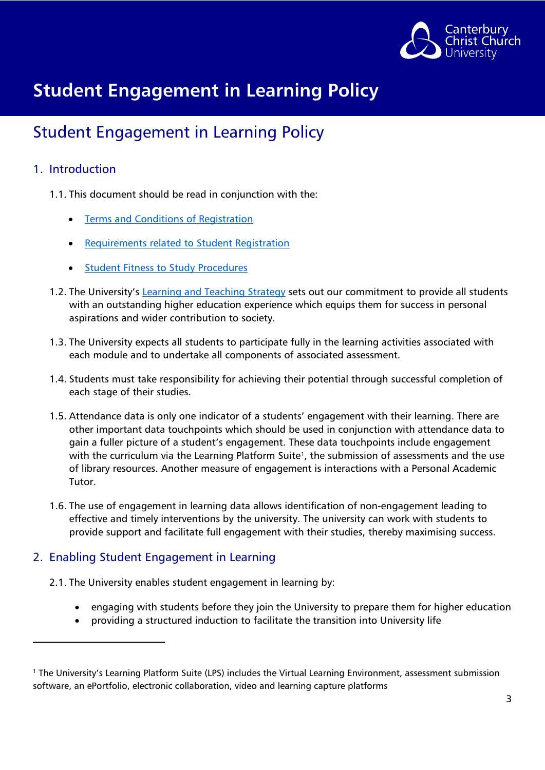

### <span id="page-2-0"></span>Student Engagement in Learning Policy

#### <span id="page-2-1"></span>1. Introduction

**.** 

- 1.1. This document should be read in conjunction with the:
	- [Terms and Conditions of Registration](https://www.canterbury.ac.uk/current-students/academic-services/student-record-and-registration/student-terms-and-conditions)
	- [Requirements related to Student Registration](https://www.canterbury.ac.uk/students/docs/policy-zone/Requirements-Relating-to-Student-Registration.pdf)
	- [Student Fitness to Study Procedures](https://www.canterbury.ac.uk/students/docs/policy-zone/Fitness-to-Study-Procedure-v1-September-2018.pdf)
- 1.2. The University's [Learning and Teaching Strategy](https://www.canterbury.ac.uk/learning-and-teaching-enhancement/strategies/learning-and-teaching-strategy.aspx) sets out our commitment to provide all students with an outstanding higher education experience which equips them for success in personal aspirations and wider contribution to society.
- 1.3. The University expects all students to participate fully in the learning activities associated with each module and to undertake all components of associated assessment.
- 1.4. Students must take responsibility for achieving their potential through successful completion of each stage of their studies.
- 1.5. Attendance data is only one indicator of a students' engagement with their learning. There are other important data touchpoints which should be used in conjunction with attendance data to gain a fuller picture of a student's engagement. These data touchpoints include engagement with the curriculum via the Learning Platform Suite<sup>[1](#page-2-3)</sup>, the submission of assessments and the use of library resources. Another measure of engagement is interactions with a Personal Academic Tutor.
- 1.6. The use of engagement in learning data allows identification of non-engagement leading to effective and timely interventions by the university. The university can work with students to provide support and facilitate full engagement with their studies, thereby maximising success.

#### <span id="page-2-2"></span>2. Enabling Student Engagement in Learning

- 2.1. The University enables student engagement in learning by:
	- engaging with students before they join the University to prepare them for higher education
	- providing a structured induction to facilitate the transition into University life

<span id="page-2-3"></span><sup>1</sup> The University's Learning Platform Suite (LPS) includes the Virtual Learning Environment, assessment submission software, an ePortfolio, electronic collaboration, video and learning capture platforms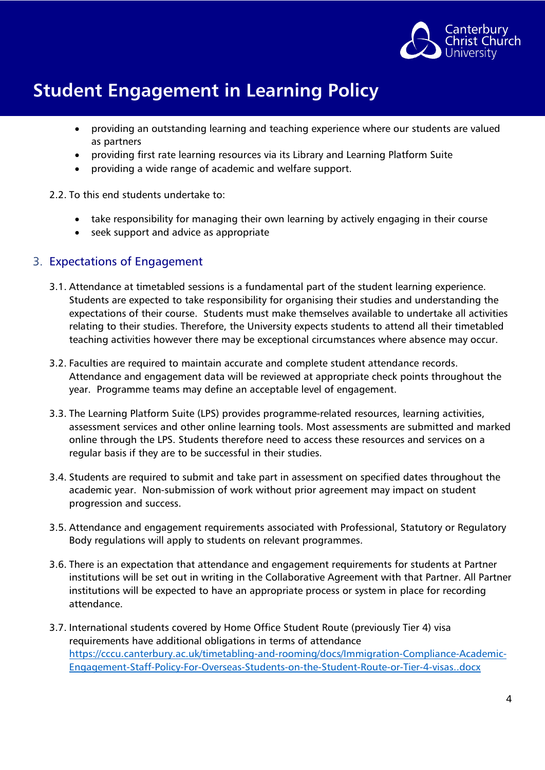

- providing an outstanding learning and teaching experience where our students are valued as partners
- providing first rate learning resources via its Library and Learning Platform Suite
- providing a wide range of academic and welfare support.

#### 2.2. To this end students undertake to:

- take responsibility for managing their own learning by actively engaging in their course
- seek support and advice as appropriate

#### <span id="page-3-0"></span>3. Expectations of Engagement

- 3.1. Attendance at timetabled sessions is a fundamental part of the student learning experience. Students are expected to take responsibility for organising their studies and understanding the expectations of their course. Students must make themselves available to undertake all activities relating to their studies. Therefore, the University expects students to attend all their timetabled teaching activities however there may be exceptional circumstances where absence may occur.
- 3.2. Faculties are required to maintain accurate and complete student attendance records. Attendance and engagement data will be reviewed at appropriate check points throughout the year. Programme teams may define an acceptable level of engagement.
- 3.3. The Learning Platform Suite (LPS) provides programme-related resources, learning activities, assessment services and other online learning tools. Most assessments are submitted and marked online through the LPS. Students therefore need to access these resources and services on a regular basis if they are to be successful in their studies.
- 3.4. Students are required to submit and take part in assessment on specified dates throughout the academic year. Non-submission of work without prior agreement may impact on student progression and success.
- 3.5. Attendance and engagement requirements associated with Professional, Statutory or Regulatory Body regulations will apply to students on relevant programmes.
- 3.6. There is an expectation that attendance and engagement requirements for students at Partner institutions will be set out in writing in the Collaborative Agreement with that Partner. All Partner institutions will be expected to have an appropriate process or system in place for recording attendance.
- 3.7. International students covered by Home Office Student Route (previously Tier 4) visa requirements have additional obligations in terms of attendance [https://cccu.canterbury.ac.uk/timetabling-and-rooming/docs/Immigration-Compliance-Academic-](https://eur01.safelinks.protection.outlook.com/?url=https%3A%2F%2Fcccu.canterbury.ac.uk%2Ftimetabling-and-rooming%2Fdocs%2FImmigration-Compliance-Academic-Engagement-Staff-Policy-For-Overseas-Students-on-the-Student-Route-or-Tier-4-visas..docx&data=04%7C01%7Csuzanne.collins%40canterbury.ac.uk%7C16b0686b4a3741ad47a408d8c118dff3%7C0320b2da22dd4dab8c216e644ba14f13%7C0%7C0%7C637471659930004157%7CUnknown%7CTWFpbGZsb3d8eyJWIjoiMC4wLjAwMDAiLCJQIjoiV2luMzIiLCJBTiI6Ik1haWwiLCJXVCI6Mn0%3D%7C1000&sdata=DItFCuJf%2FMkJ8bOdYT4m9dqm14V8g0lbNdE4U2BODoI%3D&reserved=0)[Engagement-Staff-Policy-For-Overseas-Students-on-the-Student-Route-or-Tier-4-visas..docx](https://eur01.safelinks.protection.outlook.com/?url=https%3A%2F%2Fcccu.canterbury.ac.uk%2Ftimetabling-and-rooming%2Fdocs%2FImmigration-Compliance-Academic-Engagement-Staff-Policy-For-Overseas-Students-on-the-Student-Route-or-Tier-4-visas..docx&data=04%7C01%7Csuzanne.collins%40canterbury.ac.uk%7C16b0686b4a3741ad47a408d8c118dff3%7C0320b2da22dd4dab8c216e644ba14f13%7C0%7C0%7C637471659930004157%7CUnknown%7CTWFpbGZsb3d8eyJWIjoiMC4wLjAwMDAiLCJQIjoiV2luMzIiLCJBTiI6Ik1haWwiLCJXVCI6Mn0%3D%7C1000&sdata=DItFCuJf%2FMkJ8bOdYT4m9dqm14V8g0lbNdE4U2BODoI%3D&reserved=0)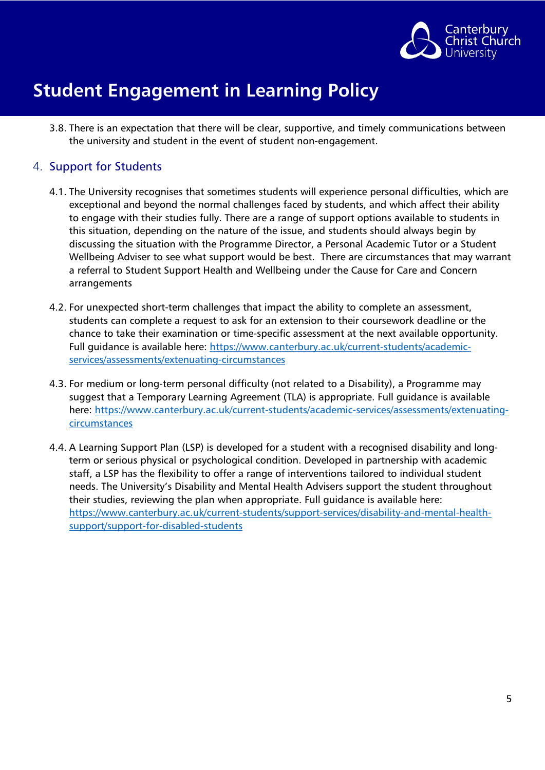

3.8. There is an expectation that there will be clear, supportive, and timely communications between the university and student in the event of student non-engagement.

#### <span id="page-4-0"></span>4. Support for Students

- 4.1. The University recognises that sometimes students will experience personal difficulties, which are exceptional and beyond the normal challenges faced by students, and which affect their ability to engage with their studies fully. There are a range of support options available to students in this situation, depending on the nature of the issue, and students should always begin by discussing the situation with the Programme Director, a Personal Academic Tutor or a Student Wellbeing Adviser to see what support would be best. There are circumstances that may warrant a referral to Student Support Health and Wellbeing under the Cause for Care and Concern arrangements
- 4.2. For unexpected short-term challenges that impact the ability to complete an assessment, students can complete a request to ask for an extension to their coursework deadline or the chance to take their examination or time-specific assessment at the next available opportunity. Full guidance is available here: [https://www.canterbury.ac.uk/current-students/academic](https://www.canterbury.ac.uk/current-students/academic-services/assessments/extenuating-circumstances)[services/assessments/extenuating-circumstances](https://www.canterbury.ac.uk/current-students/academic-services/assessments/extenuating-circumstances)
- 4.3. For medium or long-term personal difficulty (not related to a Disability), a Programme may suggest that a Temporary Learning Agreement (TLA) is appropriate. Full guidance is available here: [https://www.canterbury.ac.uk/current-students/academic-services/assessments/extenuating](https://www.canterbury.ac.uk/current-students/academic-services/assessments/extenuating-circumstances)**[circumstances](https://www.canterbury.ac.uk/current-students/academic-services/assessments/extenuating-circumstances)**
- 4.4. A Learning Support Plan (LSP) is developed for a student with a recognised disability and longterm or serious physical or psychological condition. Developed in partnership with academic staff, a LSP has the flexibility to offer a range of interventions tailored to individual student needs. The University's Disability and Mental Health Advisers support the student throughout their studies, reviewing the plan when appropriate. Full guidance is available here: [https://www.canterbury.ac.uk/current-students/support-services/disability-and-mental-health](https://www.canterbury.ac.uk/current-students/support-services/disability-and-mental-health-support/support-for-disabled-students)[support/support-for-disabled-students](https://www.canterbury.ac.uk/current-students/support-services/disability-and-mental-health-support/support-for-disabled-students)